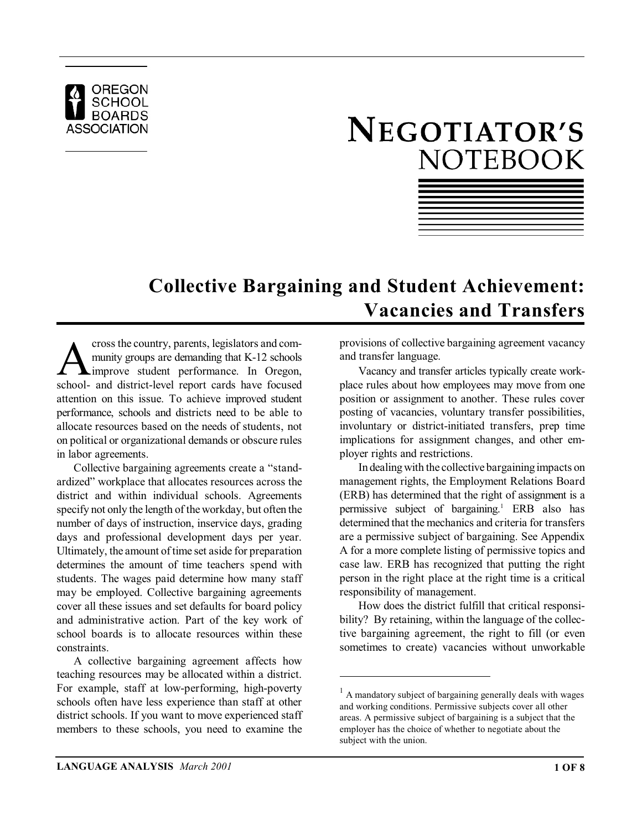

# NEGOTIATOR'S **NOTEBOOK**

| the contract of the contract of the contract of the contract of the contract of the contract of the contract of                                                                                                               |  |  |
|-------------------------------------------------------------------------------------------------------------------------------------------------------------------------------------------------------------------------------|--|--|
| the control of the control of the control of the control of the control of the control of the control of the control of the control of the control of the control of the control of the control of the control of the control |  |  |
|                                                                                                                                                                                                                               |  |  |
| and the control of the control of the control of the control of the control of the control of the control of the                                                                                                              |  |  |
| the contract of the contract of the contract of the contract of the contract of the contract of the contract of                                                                                                               |  |  |
| the contract of the contract of the contract of the contract of the contract of the contract of the contract of                                                                                                               |  |  |
|                                                                                                                                                                                                                               |  |  |
|                                                                                                                                                                                                                               |  |  |
| the contract of the contract of the contract of the contract of the contract of the contract of the contract of                                                                                                               |  |  |
|                                                                                                                                                                                                                               |  |  |

### **Collective Bargaining and Student Achievement: Vacancies and Transfers**

cross the country, parents, legislators and com-<br>munity groups are demanding that K-12 schools<br>school- and district-level report cards have focused cross the country, parents, legislators and community groups are demanding that K-12 schools improve student performance. In Oregon, attention on this issue. To achieve improved student performance, schools and districts need to be able to allocate resources based on the needs of students, not on political or organizational demands or obscure rules in labor agreements.

Collective bargaining agreements create a "standardized" workplace that allocates resources across the district and within individual schools. Agreements specify not only the length of the workday, but often the number of days of instruction, inservice days, grading days and professional development days per year. Ultimately, the amount of time set aside for preparation determines the amount of time teachers spend with students. The wages paid determine how many staff may be employed. Collective bargaining agreements cover all these issues and set defaults for board policy and administrative action. Part of the key work of school boards is to allocate resources within these constraints.

A collective bargaining agreement affects how teaching resources may be allocated within a district. For example, staff at low-performing, high-poverty schools often have less experience than staff at other district schools. If you want to move experienced staff members to these schools, you need to examine the provisions of collective bargaining agreement vacancy and transfer language.

Vacancy and transfer articles typically create workplace rules about how employees may move from one position or assignment to another. These rules cover posting of vacancies, voluntary transfer possibilities, involuntary or district-initiated transfers, prep time implications for assignment changes, and other employer rights and restrictions.

In dealing with the collective bargaining impacts on management rights, the Employment Relations Board (ERB) has determined that the right of assignment is a permissive subject of bargaining.<sup>1</sup> ERB also has determined that the mechanics and criteria for transfers are a permissive subject of bargaining. See Appendix A for a more complete listing of permissive topics and case law. ERB has recognized that putting the right person in the right place at the right time is a critical responsibility of management.

How does the district fulfill that critical responsibility? By retaining, within the language of the collective bargaining agreement, the right to fill (or even sometimes to create) vacancies without unworkable

 $<sup>1</sup>$  A mandatory subject of bargaining generally deals with wages</sup> and working conditions. Permissive subjects cover all other areas. A permissive subject of bargaining is a subject that the employer has the choice of whether to negotiate about the subject with the union.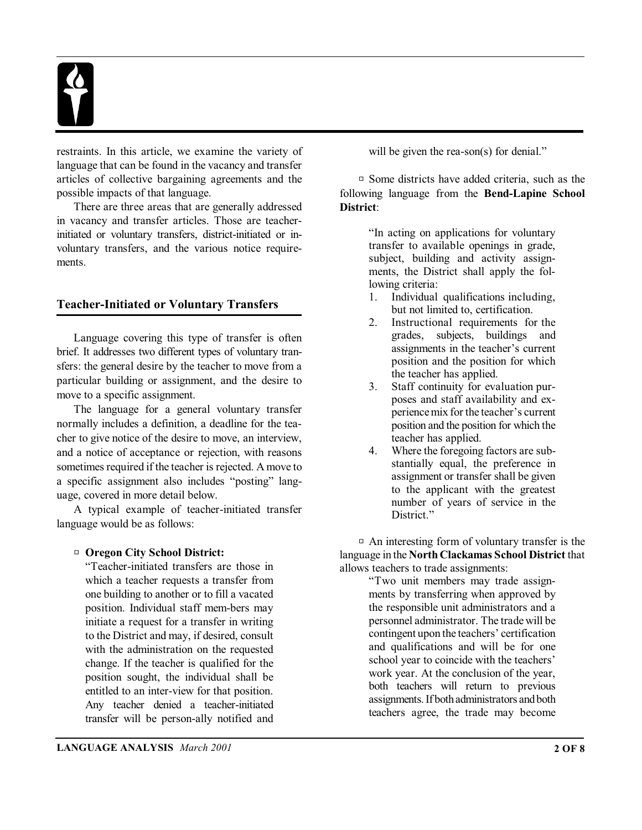

restraints. In this article, we examine the variety of language that can be found in the vacancy and transfer articles of collective bargaining agreements and the possible impacts of that language.

There are three areas that are generally addressed in vacancy and transfer articles. Those are teacherinitiated or voluntary transfers, district-initiated or involuntary transfers, and the various notice requirements.

#### **Teacher-Initiated or Voluntary Transfers**

Language covering this type of transfer is often brief. It addresses two different types of voluntary transfers: the general desire by the teacher to move from a particular building or assignment, and the desire to move to a specific assignment.

The language for a general voluntary transfer normally includes a definition, a deadline for the teacher to give notice of the desire to move, an interview, and a notice of acceptance or rejection, with reasons sometimes required if the teacher is rejected. Amove to a specific assignment also includes "posting" language, covered in more detail below.

A typical example of teacher-initiated transfer language would be as follows:

#### □ Oregon City School District:

"Teacher-initiated transfers are those in which a teacher requests a transfer from one building to another or to fill a vacated position. Individual staff mem-bers may initiate a request for a transfer in writing to the District and may, if desired, consult with the administration on the requested change. If the teacher is qualified for the position sought, the individual shall be entitled to an inter-view for that position. Any teacher denied a teacher-initiated transfer will be person-ally notified and will be given the rea-son(s) for denial."

 $\Box$  Some districts have added criteria, such as the following language from the **Bend-Lapine School District**:

> "In acting on applications for voluntary transfer to available openings in grade, subject, building and activity assignments, the District shall apply the following criteria:

- 1. Individual qualifications including, but not limited to, certification.
- 2. Instructional requirements for the grades, subjects, buildings and assignments in the teacher's current position and the position for which the teacher has applied.
- 3. Staff continuity for evaluation purposes and staff availability and experiencemix for the teacher's current position and the position for which the teacher has applied.
- 4. Where the foregoing factors are substantially equal, the preference in assignment or transfer shall be given to the applicant with the greatest number of years of service in the District."

 $\Box$  An interesting form of voluntary transfer is the language in the **NorthClackamas School District** that allows teachers to trade assignments:

"Two unit members may trade assignments by transferring when approved by the responsible unit administrators and a personnel administrator. The trade will be contingent upon the teachers' certification and qualifications and will be for one school year to coincide with the teachers' work year. At the conclusion of the year, both teachers will return to previous assignments. If both administrators and both teachers agree, the trade may become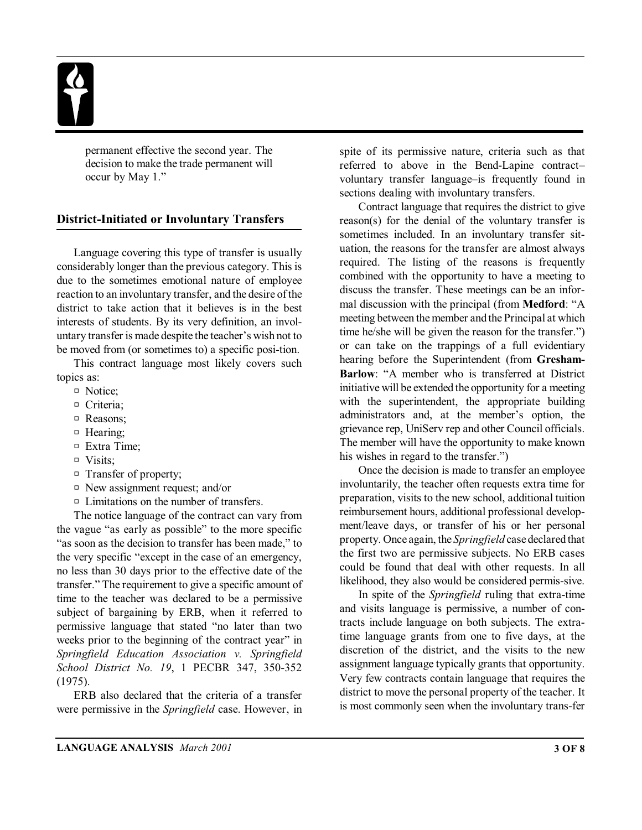permanent effective the second year. The decision to make the trade permanent will occur by May 1."

#### **District-Initiated or Involuntary Transfers**

Language covering this type of transfer is usually considerably longer than the previous category. This is due to the sometimes emotional nature of employee reaction to an involuntary transfer, and the desire of the district to take action that it believes is in the best interests of students. By its very definition, an involuntary transfer is made despite the teacher's wish not to be moved from (or sometimes to) a specific posi-tion.

This contract language most likely covers such topics as:

- <sup>D</sup> Notice;
- <sup>D</sup> Criteria;
- □ Reasons;
- $\Box$  Hearing:
- $\Box$  Extra Time;
- $\neg$  Visits:
- $\Box$  Transfer of property;
- $\Box$  New assignment request; and/or
- $\Box$  Limitations on the number of transfers.

The notice language of the contract can vary from the vague "as early as possible" to the more specific "as soon as the decision to transfer has been made," to the very specific "except in the case of an emergency, no less than 30 days prior to the effective date of the transfer." The requirement to give a specific amount of time to the teacher was declared to be a permissive subject of bargaining by ERB, when it referred to permissive language that stated "no later than two weeks prior to the beginning of the contract year" in *Springfield Education Association v. Springfield School District No. 19*, 1 PECBR 347, 350-352 (1975).

ERB also declared that the criteria of a transfer were permissive in the *Springfield* case. However, in spite of its permissive nature, criteria such as that referred to above in the Bend-Lapine contract– voluntary transfer language–is frequently found in sections dealing with involuntary transfers.

Contract language that requires the district to give reason(s) for the denial of the voluntary transfer is sometimes included. In an involuntary transfer situation, the reasons for the transfer are almost always required. The listing of the reasons is frequently combined with the opportunity to have a meeting to discuss the transfer. These meetings can be an informal discussion with the principal (from **Medford**: "A meeting between the member and the Principal at which time he/she will be given the reason for the transfer.") or can take on the trappings of a full evidentiary hearing before the Superintendent (from **Gresham-Barlow**: "A member who is transferred at District initiative will be extended the opportunity for a meeting with the superintendent, the appropriate building administrators and, at the member's option, the grievance rep, UniServ rep and other Council officials. The member will have the opportunity to make known his wishes in regard to the transfer.")

Once the decision is made to transfer an employee involuntarily, the teacher often requests extra time for preparation, visits to the new school, additional tuition reimbursement hours, additional professional development/leave days, or transfer of his or her personal property. Once again, the *Springfield* case declared that the first two are permissive subjects. No ERB cases could be found that deal with other requests. In all likelihood, they also would be considered permis-sive.

In spite of the *Springfield* ruling that extra-time and visits language is permissive, a number of contracts include language on both subjects. The extratime language grants from one to five days, at the discretion of the district, and the visits to the new assignment language typically grants that opportunity. Very few contracts contain language that requires the district to move the personal property of the teacher. It is most commonly seen when the involuntary trans-fer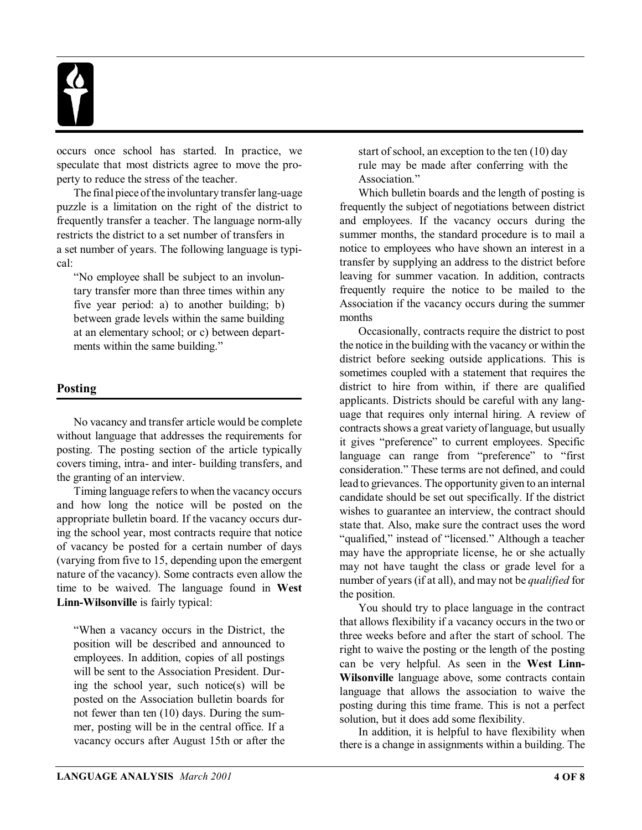occurs once school has started. In practice, we speculate that most districts agree to move the property to reduce the stress of the teacher.

The final piece of the involuntary transfer lang-uage puzzle is a limitation on the right of the district to frequently transfer a teacher. The language norm-ally restricts the district to a set number of transfers in a set number of years. The following language is typical:

"No employee shall be subject to an involuntary transfer more than three times within any five year period: a) to another building; b) between grade levels within the same building at an elementary school; or c) between departments within the same building."

### **Posting**

No vacancy and transfer article would be complete without language that addresses the requirements for posting. The posting section of the article typically covers timing, intra- and inter- building transfers, and the granting of an interview.

Timing language refers to when the vacancy occurs and how long the notice will be posted on the appropriate bulletin board. If the vacancy occurs during the school year, most contracts require that notice of vacancy be posted for a certain number of days (varying from five to 15, depending upon the emergent nature of the vacancy). Some contracts even allow the time to be waived. The language found in **West** Linn-Wilsonville is fairly typical:

"When a vacancy occurs in the District, the position will be described and announced to employees. In addition, copies of all postings will be sent to the Association President. During the school year, such notice(s) will be posted on the Association bulletin boards for not fewer than ten (10) days. During the summer, posting will be in the central office. If a vacancy occurs after August 15th or after the start of school, an exception to the ten (10) day rule may be made after conferring with the Association."

Which bulletin boards and the length of posting is frequently the subject of negotiations between district and employees. If the vacancy occurs during the summer months, the standard procedure is to mail a notice to employees who have shown an interest in a transfer by supplying an address to the district before leaving for summer vacation. In addition, contracts frequently require the notice to be mailed to the Association if the vacancy occurs during the summer months

Occasionally, contracts require the district to post the notice in the building with the vacancy or within the district before seeking outside applications. This is sometimes coupled with a statement that requires the district to hire from within, if there are qualified applicants. Districts should be careful with any language that requires only internal hiring. A review of contracts shows a great variety of language, but usually it gives "preference" to current employees. Specific language can range from "preference" to "first consideration." These terms are not defined, and could lead to grievances. The opportunity given to an internal candidate should be set out specifically. If the district wishes to guarantee an interview, the contract should state that. Also, make sure the contract uses the word "qualified," instead of "licensed." Although a teacher may have the appropriate license, he or she actually may not have taught the class or grade level for a number of years (if at all), and may not be *qualified* for the position.

You should try to place language in the contract that allows flexibility if a vacancy occurs in the two or three weeks before and after the start of school. The right to waive the posting or the length of the posting can be very helpful. As seen in the **West Linn-Wilsonville** language above, some contracts contain language that allows the association to waive the posting during this time frame. This is not a perfect solution, but it does add some flexibility.

In addition, it is helpful to have flexibility when there is a change in assignments within a building. The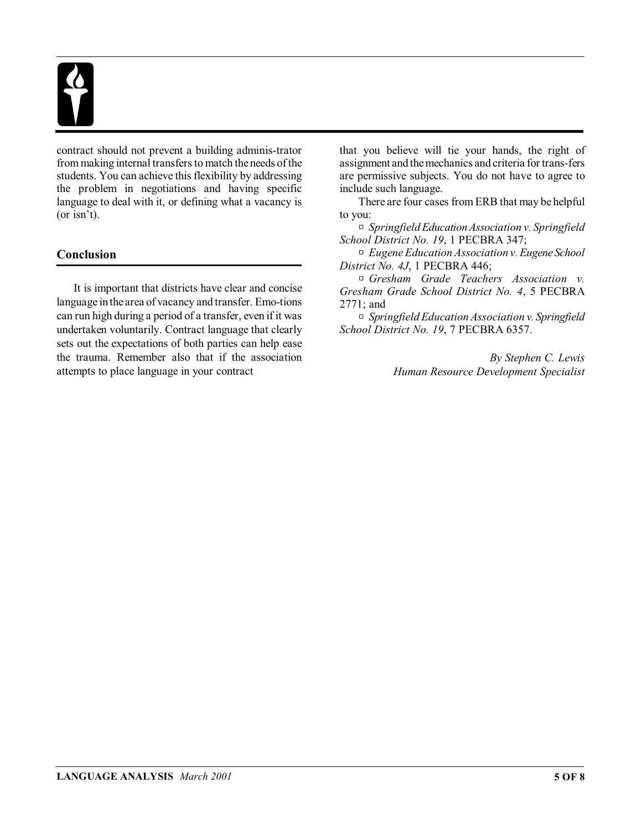

contract should not prevent a building adminis-trator from making internal transfers to match theneeds of the students. You can achieve this flexibility by addressing the problem in negotiations and having specific language to deal with it, or defining what a vacancy is (or isn't).

### **Conclusion**

It is important that districts have clear and concise language in the area of vacancy and transfer. Emo-tions can run high during a period of a transfer, even if it was undertaken voluntarily. Contract language that clearly sets out the expectations of both parties can help ease the trauma. Remember also that if the association attempts to place language in your contract

that you believe will tie your hands, the right of assignment and the mechanics and criteria for trans-fers are permissive subjects. You do not have to agree to include such language.

There are four cases from ERB that may be helpful to you:

R *Springfield Education Association v. Springfield School District No. 19*, 1 PECBRA 347;

R *Eugene Education Association v. Eugene School District No. 4J*, 1 PECBRA 446;

R *Gresham Grade Teachers Association v. Gresham Grade School District No. 4*, 5 PECBRA 2771; and

R *Springfield Education Association v. Springfield School District No. 19*, 7 PECBRA 6357.

> *By Stephen C. Lewis Human Resource Development Specialist*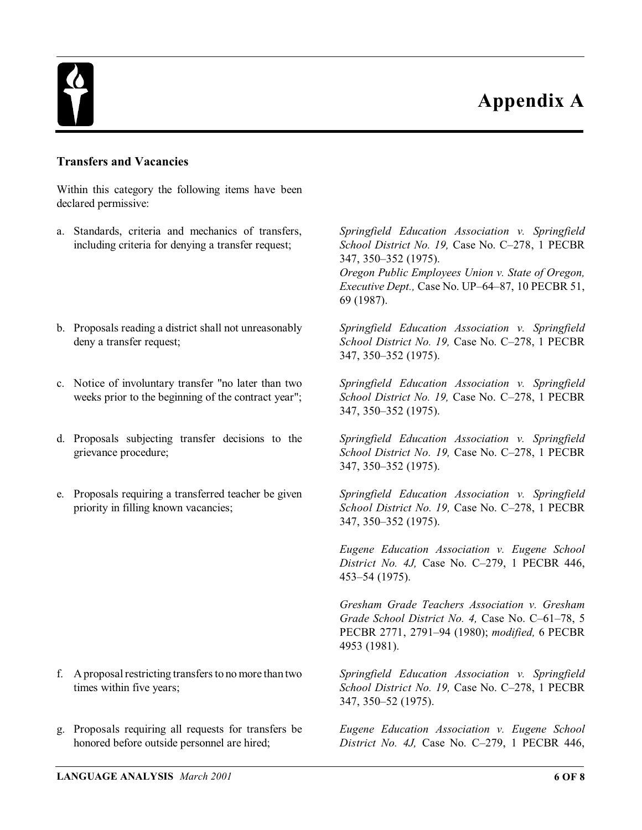### **Appendix A**



#### **Transfers and Vacancies**

Within this category the following items have been declared permissive:

- a. Standards, criteria and mechanics of transfers, including criteria for denying a transfer request;
- b. Proposals reading a district shall not unreasonably deny a transfer request;
- c. Notice of involuntary transfer "no later than two weeks prior to the beginning of the contract year";
- d. Proposals subjecting transfer decisions to the grievance procedure;
- e. Proposals requiring a transferred teacher be given priority in filling known vacancies;

f. A proposal restricting transfersto no more than two times within five years;

g. Proposals requiring all requests for transfers be honored before outside personnel are hired;

*Springfield Education Association v. Springfield School District No. 19,* Case No. C–278, 1 PECBR 347, 350–352 (1975).

*Oregon Public Employees Union v. State of Oregon, Executive Dept.,* Case No. UP–64–87, 10 PECBR 51, 69 (1987).

*Springfield Education Association v. Springfield School District No. 19,* Case No. C–278, 1 PECBR 347, 350–352 (1975).

*Springfield Education Association v. Springfield School District No. 19,* Case No. C–278, 1 PECBR 347, 350–352 (1975).

*Springfield Education Association v. Springfield School District No. 19,* Case No. C–278, 1 PECBR 347, 350–352 (1975).

*Springfield Education Association v. Springfield School District No. 19,* Case No. C–278, 1 PECBR 347, 350–352 (1975).

*Eugene Education Association v. Eugene School District No. 4J,* Case No. C–279, 1 PECBR 446, 453–54 (1975).

*Gresham Grade Teachers Association v. Gresham Grade School District No. 4,* Case No. C–61–78, 5 PECBR 2771, 2791–94 (1980); *modified,* 6 PECBR 4953 (1981).

*Springfield Education Association v. Springfield School District No. 19,* Case No. C–278, 1 PECBR 347, 350–52 (1975).

*Eugene Education Association v. Eugene School District No. 4J,* Case No. C–279, 1 PECBR 446,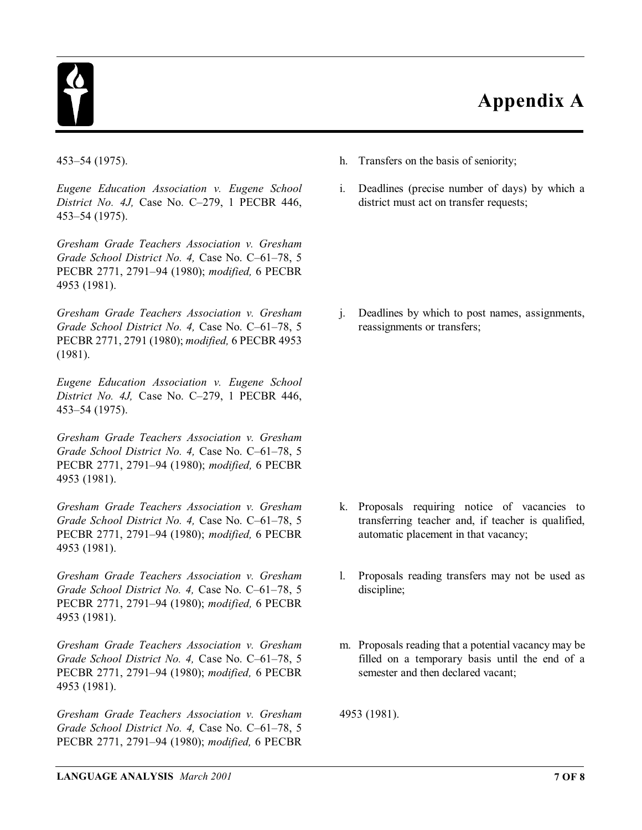

## **Appendix A**

*Eugene Education Association v. Eugene School District No. 4J,* Case No. C–279, 1 PECBR 446, 453–54 (1975).

*Gresham Grade Teachers Association v. Gresham Grade School District No. 4,* Case No. C–61–78, 5 PECBR 2771, 2791–94 (1980); *modified,* 6 PECBR 4953 (1981).

*Gresham Grade Teachers Association v. Gresham Grade School District No. 4,* Case No. C–61–78, 5 PECBR 2771, 2791 (1980); *modified,* 6 PECBR 4953 (1981).

*Eugene Education Association v. Eugene School District No. 4J,* Case No. C–279, 1 PECBR 446, 453–54 (1975).

*Gresham Grade Teachers Association v. Gresham Grade School District No. 4,* Case No. C–61–78, 5 PECBR 2771, 2791–94 (1980); *modified,* 6 PECBR 4953 (1981).

*Gresham Grade Teachers Association v. Gresham Grade School District No. 4,* Case No. C–61–78, 5 PECBR 2771, 2791–94 (1980); *modified,* 6 PECBR 4953 (1981).

*Gresham Grade Teachers Association v. Gresham Grade School District No. 4,* Case No. C–61–78, 5 PECBR 2771, 2791–94 (1980); *modified,* 6 PECBR 4953 (1981).

*Gresham Grade Teachers Association v. Gresham Grade School District No. 4,* Case No. C–61–78, 5 PECBR 2771, 2791–94 (1980); *modified,* 6 PECBR 4953 (1981).

*Gresham Grade Teachers Association v. Gresham Grade School District No. 4,* Case No. C–61–78, 5 PECBR 2771, 2791–94 (1980); *modified,* 6 PECBR

- 453–54 (1975). h. Transfers on the basis of seniority;
	- i. Deadlines (precise number of days) by which a district must act on transfer requests;

j. Deadlines by which to post names, assignments, reassignments or transfers;

- k. Proposals requiring notice of vacancies to transferring teacher and, if teacher is qualified, automatic placement in that vacancy;
- l. Proposals reading transfers may not be used as discipline;
- m. Proposals reading that a potential vacancy may be filled on a temporary basis until the end of a semester and then declared vacant;

4953 (1981).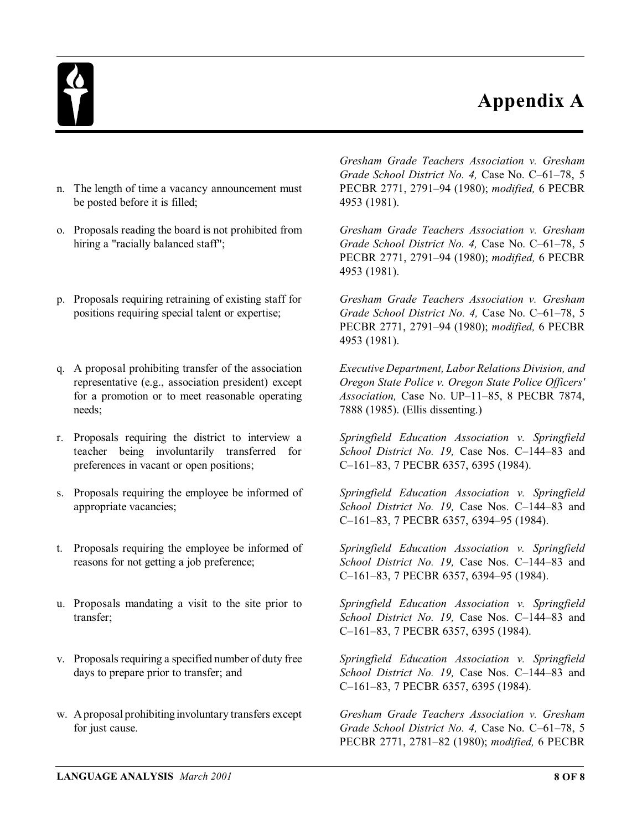### **Appendix A**



- n. The length of time a vacancy announcement must be posted before it is filled;
- o. Proposals reading the board is not prohibited from hiring a "racially balanced staff";
- p. Proposals requiring retraining of existing staff for positions requiring special talent or expertise;
- q. A proposal prohibiting transfer of the association representative (e.g., association president) except for a promotion or to meet reasonable operating needs;
- r. Proposals requiring the district to interview a teacher being involuntarily transferred for preferences in vacant or open positions;
- s. Proposals requiring the employee be informed of appropriate vacancies;
- t. Proposals requiring the employee be informed of reasons for not getting a job preference;
- u. Proposals mandating a visit to the site prior to transfer;
- v. Proposals requiring a specified number of duty free days to prepare prior to transfer; and
- w. Aproposal prohibiting involuntary transfers except for just cause.

*Gresham Grade Teachers Association v. Gresham Grade School District No. 4,* Case No. C–61–78, 5 PECBR 2771, 2791–94 (1980); *modified,* 6 PECBR 4953 (1981).

*Gresham Grade Teachers Association v. Gresham Grade School District No. 4,* Case No. C–61–78, 5 PECBR 2771, 2791–94 (1980); *modified,* 6 PECBR 4953 (1981).

*Gresham Grade Teachers Association v. Gresham Grade School District No. 4,* Case No. C–61–78, 5 PECBR 2771, 2791–94 (1980); *modified,* 6 PECBR 4953 (1981).

*Executive Department, Labor Relations Division, and Oregon State Police v. Oregon State Police Officers' Association,* Case No. UP–11–85, 8 PECBR 7874, 7888 (1985). (Ellis dissenting.)

*Springfield Education Association v. Springfield School District No. 19,* Case Nos. C–144–83 and C–161–83, 7 PECBR 6357, 6395 (1984).

*Springfield Education Association v. Springfield School District No. 19,* Case Nos. C–144–83 and C–161–83, 7 PECBR 6357, 6394–95 (1984).

*Springfield Education Association v. Springfield School District No. 19,* Case Nos. C–144–83 and C–161–83, 7 PECBR 6357, 6394–95 (1984).

*Springfield Education Association v. Springfield School District No. 19,* Case Nos. C–144–83 and C–161–83, 7 PECBR 6357, 6395 (1984).

*Springfield Education Association v. Springfield School District No. 19,* Case Nos. C–144–83 and C–161–83, 7 PECBR 6357, 6395 (1984).

*Gresham Grade Teachers Association v. Gresham Grade School District No. 4,* Case No. C–61–78, 5 PECBR 2771, 2781–82 (1980); *modified,* 6 PECBR